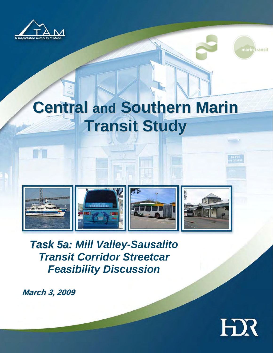

TT



 $n$ 

# **Central and Southern Marin Million Transit Study**

**Transportation Authority of Marin County (TAM)** 

**Central and Southern Marin County Transit Study** 



Central and Southern Marin Transit Study **A2-1** 

*Task 5a: Mill Valley-Sausalito Transit Corridor Streetcar Feasibility Discussion* 

**March 3, 2009**

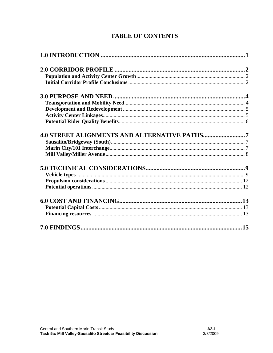## **TABLE OF CONTENTS**

| <b>4.0 STREET ALIGNMENTS AND ALTERNATIVE PATHS7</b> |  |
|-----------------------------------------------------|--|
|                                                     |  |
|                                                     |  |
|                                                     |  |
|                                                     |  |
|                                                     |  |
|                                                     |  |
|                                                     |  |
|                                                     |  |
|                                                     |  |
|                                                     |  |
|                                                     |  |
|                                                     |  |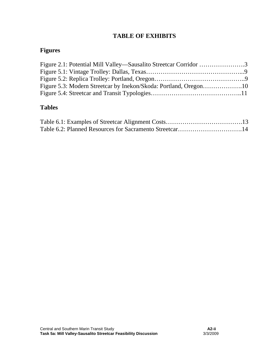### **TABLE OF EXHIBITS**

## **Figures**

| Figure 2.1: Potential Mill Valley—Sausalito Streetcar Corridor 3 |  |
|------------------------------------------------------------------|--|
|                                                                  |  |
|                                                                  |  |
|                                                                  |  |
|                                                                  |  |

### **Tables**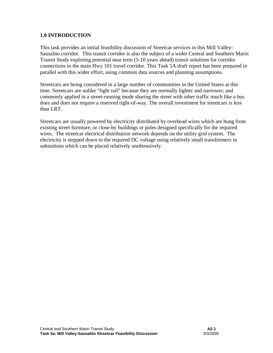#### **1.0 INTRODUCTION**

This task provides an initial feasibility discussion of Streetcar services in this Mill Valley-Sausalito corridor. This transit corridor is also the subject of a wider Central and Southern Marin Transit Study exploring potential near term (5-10 years ahead) transit solutions for corridor connections to the main Hwy 101 travel corridor. This Task 5A draft report has been prepared in parallel with this wider effort, using common data sources and planning assumptions.

Streetcars are being considered in a large number of communities in the United States at this time. Streetcars are unlike "light rail" because they are normally lighter and narrower; and commonly applied in a street-running mode sharing the street with other traffic much like a bus does and does not require a reserved right-of-way. The overall investment for streetcars is less than LRT.

Streetcars are usually powered by electricity distributed by overhead wires which are hung from existing street furniture, or close-by buildings or poles designed specifically for the required wires. The streetcar electrical distribution network depends on the utility grid system. The electricity is stepped down to the required DC voltage using relatively small transformers in substations which can be placed relatively unobtrusively.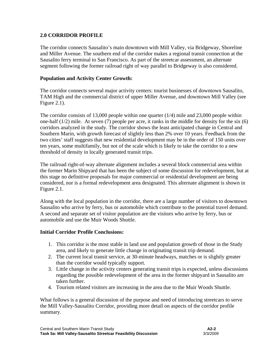#### **2.0 CORRIDOR PROFILE**

The corridor connects Sausalito's main downtown with Mill Valley, via Bridgeway, Shoreline and Miller Avenue. The southern end of the corridor makes a regional transit connection at the Sausalito ferry terminal to San Francisco. As part of the streetcar assessment, an alternate segment following the former railroad right of way parallel to Bridgeway is also considered.

#### **Population and Activity Center Growth:**

The corridor connects several major activity centers: tourist businesses of downtown Sausalito, TAM High and the commercial district of upper Miller Avenue, and downtown Mill Valley (see Figure 2.1).

The corridor consists of 13,000 people within one quarter (1/4) mile and 23,000 people within one-half (1/2) mile. At seven (7) people per acre, it ranks in the middle for density for the six (6) corridors analyzed in the study. The corridor shows the least anticipated change in Central and Southern Marin, with growth forecast of slightly less than 2% over 10 years. Feedback from the two cities' staff suggests that new residential development may be in the order of 150 units over ten years, some multifamily, but not of the scale which is likely to take the corridor to a new threshold of density in locally generated transit trips.

The railroad right-of-way alternate alignment includes a several block commercial area within the former Marin Shipyard that has been the subject of some discussion for redevelopment, but at this stage no definitive proposals for major commercial or residential development are being considered, nor is a formal redevelopment area designated. This alternate alignment is shown in Figure 2.1.

Along with the local population in the corridor, there are a large number of visitors to downtown Sausalito who arrive by ferry, bus or automobile which contribute to the potential travel demand. A second and separate set of visitor population are the visitors who arrive by ferry, bus or automobile and use the Muir Woods Shuttle.

#### **Initial Corridor Profile Conclusions:**

- 1. This corridor is the most stable in land use and population growth of those in the Study area, and likely to generate little change in originating transit trip demand.
- 2. The current local transit service, at 30-minute headways, matches or is slightly greater than the corridor would typically support.
- 3. Little change in the activity centers generating transit trips is expected, unless discussions regarding the possible redevelopment of the area in the former shipyard in Sausalito are taken further.
- 4. Tourism related visitors are increasing in the area due to the Muir Woods Shuttle.

What follows is a general discussion of the purpose and need of introducing streetcars to serve the Mill Valley-Sausalito Corridor, providing more detail on aspects of the corridor profile summary.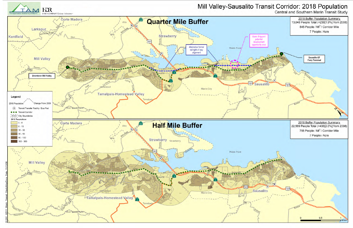



# Mill Valley-Sausalito Transit Corridor: 2018 Population Central and Southern Marin Transit Study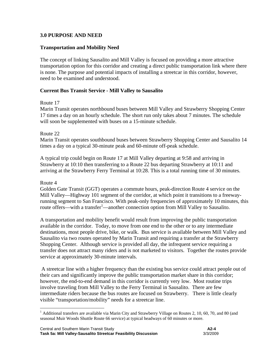#### **3.0 PURPOSE AND NEED**

#### **Transportation and Mobility Need**

The concept of linking Sausalito and Mill Valley is focused on providing a more attractive transportation option for this corridor and creating a direct public transportation link where there is none. The purpose and potential impacts of installing a streetcar in this corridor, however, need to be examined and understood.

#### **Current Bus Transit Service - Mill Valley to Sausalito**

#### Route 17

Marin Transit operates northbound buses between Mill Valley and Strawberry Shopping Center 17 times a day on an hourly schedule. The short run only takes about 7 minutes. The schedule will soon be supplemented with buses on a 15-minute schedule.

#### Route 22

Marin Transit operates southbound buses between Strawberry Shopping Center and Sausalito 14 times a day on a typical 30-minute peak and 60-minute off-peak schedule.

A typical trip could begin on Route 17 at Mill Valley departing at 9:58 and arriving in Strawberry at 10:10 then transferring to a Route 22 bus departing Strawberry at 10:11 and arriving at the Strawberry Ferry Terminal at 10:28. This is a total running time of 30 minutes.

#### Route 4

1

Golden Gate Transit (GGT) operates a commute hours, peak-direction Route 4 service on the Mill Valley—Highway 101 segment of the corridor, at which point it transitions to a freewayrunning segment to San Francisco. With peak-only frequencies of approximately 10 minutes, this route offers—with a transfer<sup>1</sup>—another connection option from Mill Valley to Sausalito.

A transportation and mobility benefit would result from improving the public transportation available in the corridor. Today, to move from one end to the other or to any intermediate destinations, most people drive, bike, or walk. Bus service is available between Mill Valley and Sausalito via two routes operated by Marin Transit and requiring a transfer at the Strawberry Shopping Center. Although service is provided all day, the infrequent service requiring a transfer does not attract many riders and is not marketed to visitors. Together the routes provide service at approximately 30-minute intervals.

 A streetcar line with a higher frequency than the existing bus service could attract people out of their cars and significantly improve the public transportation market share in this corridor; however, the end-to-end demand in this corridor is currently very low. Most routine trips involve traveling from Mill Valley to the Ferry Terminal in Sausalito. There are few intermediate riders because the bus routes are focused on Strawberry. There is little clearly visible "transportation/mobility" needs for a streetcar line.

 $1$  Additional transfers are available via Marin City and Strawberry Village on Routes 2, 10, 60, 70, and 80 (and seasonal Muir Woods Shuttle Route 66 service) at typical headways of 60 minutes or more.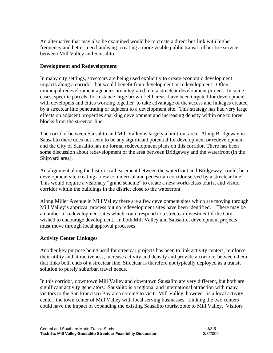An alternative that may also be examined would be to create a direct bus link with higher frequency and better merchandising: creating a more visible public transit rubber tire service between Mill Valley and Sausalito.

#### **Development and Redevelopment**

In many city settings, streetcars are being used explicitly to create economic development impacts along a corridor that would benefit from development or redevelopment. Often municipal redevelopment agencies are integrated into a streetcar development project. In some cases, specific parcels, for instance large brown field areas, have been targeted for development with developers and cities working together to take advantage of the access and linkages created by a streetcar line penetrating or adjacent to a development site. This strategy has had very large effects on adjacent properties sparking development and increasing density within one to three blocks from the streetcar line.

The corridor between Sausalito and Mill Valley is largely a built-out area. Along Bridgeway in Sausalito there does not seem to be any significant potential for development or redevelopment and the City of Sausalito has no formal redevelopment plans on this corridor. There has been some discussion about redevelopment of the area between Bridgeway and the waterfront (in the Shipyard area).

An alignment along the historic rail easement between the waterfront and Bridgeway, could, be a development site creating a new commercial and pedestrian corridor served by a streetcar line. This would require a visionary "grand scheme" to create a new world-class tourist and visitor corridor within the buildings in the district close to the waterfront.

Along Miller Avenue in Mill Valley there are a few development sites which are moving through Mill Valley's approval process but no redevelopment sites have been identified. There may be a number of redevelopment sites which could respond to a streetcar investment if the City wished to encourage development. In both Mill Valley and Sausalito, development projects must move through local approval processes.

#### **Activity Center Linkages**

Another key purpose being used for streetcar projects has been to link activity centers, reinforce their utility and attractiveness, increase activity and density and provide a corridor between them that links both ends of a streetcar line. Streetcar is therefore not typically deployed as a transit solution to purely suburban travel needs.

In this corridor, downtown Mill Valley and downtown Sausalito are very different, but both are significant activity generators. Sausalito is a regional and international attraction with many visitors to the San Francisco Bay area coming to visit. Mill Valley, however, is a local activity center, the town center of Mill Valley with local serving businesses. Linking the two centers could have the impact of expanding the existing Sausalito tourist zone to Mill Valley. Visitors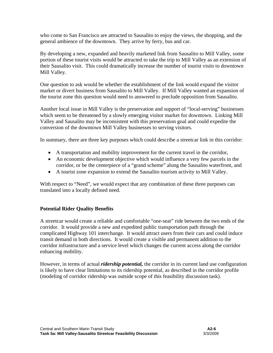who come to San Francisco are attracted to Sausalito to enjoy the views, the shopping, and the general ambience of the downtown. They arrive by ferry, bus and car.

By developing a new, expanded and heavily marketed link from Sausalito to Mill Valley, some portion of these tourist visits would be attracted to take the trip to Mill Valley as an extension of their Sausalito visit. This could dramatically increase the number of tourist visits to downtown Mill Valley.

One question to ask would be whether the establishment of the link would expand the visitor market or divert business from Sausalito to Mill Valley. If Mill Valley wanted an expansion of the tourist zone this question would need to answered to preclude opposition from Sausalito.

Another local issue in Mill Valley is the preservation and support of "local-serving" businesses which seem to be threatened by a slowly emerging visitor market for downtown. Linking Mill Valley and Sausalito may be inconsistent with this preservation goal and could expedite the conversion of the downtown Mill Valley businesses to serving visitors.

In summary, there are three key purposes which could describe a streetcar link in this corridor:

- A transportation and mobility improvement for the current travel in the corridor,
- An economic development objective which would influence a very few parcels in the corridor, or be the centerpiece of a "grand scheme" along the Sausalito waterfront, and
- A tourist zone expansion to extend the Sausalito tourism activity to Mill Valley.

With respect to "Need", we would expect that any combination of these three purposes can translated into a locally defined need.

#### **Potential Rider Quality Benefits**

A streetcar would create a reliable and comfortable "one-seat" ride between the two ends of the corridor. It would provide a new and expedited public transportation path through the complicated Highway 101 interchange. It would attract users from their cars and could induce transit demand in both directions. It would create a visible and permanent addition to the corridor infrastructure and a service level which changes the current access along the corridor enhancing mobility.

However, in terms of actual *ridership potential,* the corridor in its current land use configuration is likely to have clear limitations to its ridership potential, as described in the corridor profile (modeling of corridor ridership was outside scope of this feasibility discussion task).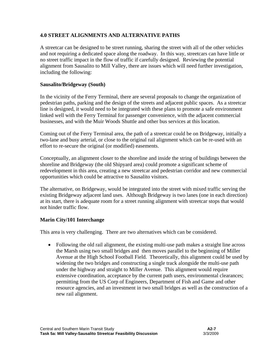#### **4.0 STREET ALIGNMENTS AND ALTERNATIVE PATHS**

A streetcar can be designed to be street running, sharing the street with all of the other vehicles and not requiring a dedicated space along the roadway. In this way, streetcars can have little or no street traffic impact in the flow of traffic if carefully designed. Reviewing the potential alignment from Sausalito to Mill Valley, there are issues which will need further investigation, including the following:

#### **Sausalito/Bridgeway (South)**

In the vicinity of the Ferry Terminal, there are several proposals to change the organization of pedestrian paths, parking and the design of the streets and adjacent public spaces. As a streetcar line is designed, it would need to be integrated with these plans to promote a safe environment linked well with the Ferry Terminal for passenger convenience, with the adjacent commercial businesses, and with the Muir Woods Shuttle and other bus services at this location.

Coming out of the Ferry Terminal area, the path of a streetcar could be on Bridgeway, initially a two-lane and busy arterial, or close to the original rail alignment which can be re-used with an effort to re-secure the original (or modified) easements.

Conceptually, an alignment closer to the shoreline and inside the string of buildings between the shoreline and Bridgeway (the old Shipyard area) could promote a significant scheme of redevelopment in this area, creating a new streetcar and pedestrian corridor and new commercial opportunities which could be attractive to Sausalito visitors.

The alternative, on Bridgeway, would be integrated into the street with mixed traffic serving the existing Bridgeway adjacent land uses. Although Bridgeway is two lanes (one in each direction) at its start, there is adequate room for a street running alignment with streetcar stops that would not hinder traffic flow.

#### **Marin City/101 Interchange**

This area is very challenging. There are two alternatives which can be considered.

• Following the old rail alignment, the existing multi-use path makes a straight line across the Marsh using two small bridges and then moves parallel to the beginning of Miller Avenue at the High School Football Field. Theoretically, this alignment could be used by widening the two bridges and constructing a single track alongside the multi-use path under the highway and straight to Miller Avenue. This alignment would require extensive coordination, acceptance by the current path users, environmental clearances; permitting from the US Corp of Engineers, Department of Fish and Game and other resource agencies, and an investment in two small bridges as well as the construction of a new rail alignment.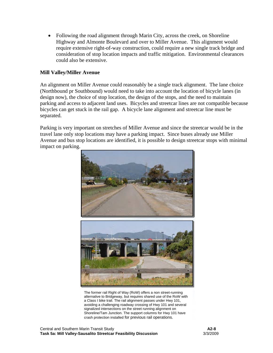• Following the road alignment through Marin City, across the creek, on Shoreline Highway and Almonte Boulevard and over to Miller Avenue. This alignment would require extensive right-of-way construction, could require a new single track bridge and consideration of stop location impacts and traffic mitigation. Environmental clearances could also be extensive.

#### **Mill Valley/Miller Avenue**

An alignment on Miller Avenue could reasonably be a single track alignment. The lane choice (Northbound pr Southbound) would need to take into account the location of bicycle lanes (in design now), the choice of stop location, the design of the stops, and the need to maintain parking and access to adjacent land uses. Bicycles and streetcar lines are not compatible because bicycles can get stuck in the rail gap. A bicycle lane alignment and streetcar line must be separated.

Parking is very important on stretches of Miller Avenue and since the streetcar would be in the travel lane only stop locations may have a parking impact. Since buses already use Miller Avenue and bus stop locations are identified, it is possible to design streetcar stops with minimal impact on parking.



The former rail Right of Way (RoW) offers a non street-running alternative to Bridgeway, but requires shared use of the RoW with a Class I bike trail. The rail alignment passes under Hwy 101, avoiding a challenging roadway crossing of Hwy 101 and several signalized intersections on the street running alignment on Shoreline/Tam Junction. The support columns for Hwy 101 have crash protection installed for previous rail operations.

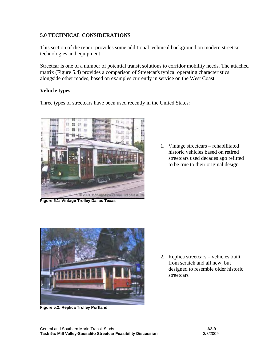#### **5.0 TECHNICAL CONSIDERATIONS**

This section of the report provides some additional technical background on modern streetcar technologies and equipment.

Streetcar is one of a number of potential transit solutions to corridor mobility needs. The attached matrix (Figure 5.4) provides a comparison of Streetcar's typical operating characteristics alongside other modes, based on examples currently in service on the West Coast.

#### **Vehicle types**

Three types of streetcars have been used recently in the United States:



**Figure 5.1: Vintage Trolley Dallas Texas** 

1. Vintage streetcars – rehabilitated historic vehicles based on retired streetcars used decades ago refitted to be true to their original design



**Figure 5.2: Replica Trolley Portland** 

2. Replica streetcars – vehicles built from scratch and all new, but designed to resemble older historic streetcars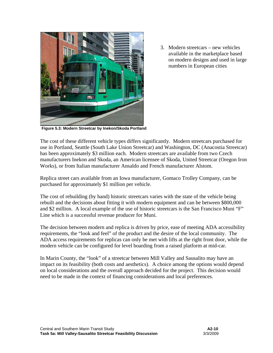

3. Modern streetcars – new vehicles available in the marketplace based on modern designs and used in large numbers in European cities

**Figure 5.3: Modern Streetcar by Inekon/Skoda Portland**

The cost of these different vehicle types differs significantly. Modern streetcars purchased for use in Portland, Seattle (South Lake Union Streetcar) and Washington, DC (Anacostia Streetcar) has been approximately \$3 million each. Modern streetcars are available from two Czech manufacturers Inekon and Skoda, an American licensee of Skoda, United Streetcar (Oregon Iron Works), or from Italian manufacturer Ansaldo and French manufacturer Alstom.

Replica street cars available from an Iowa manufacturer, Gomaco Trolley Company, can be purchased for approximately \$1 million per vehicle.

The cost of rebuilding (by hand) historic streetcars varies with the state of the vehicle being rebuilt and the decisions about fitting it with modern equipment and can be between \$800,000 and \$2 million. A local example of the use of historic streetcars is the San Francisco Muni "F" Line which is a successful revenue producer for Muni.

The decision between modern and replica is driven by price, ease of meeting ADA accessibility requirements, the "look and feel" of the product and the desire of the local community. The ADA access requirements for replicas can only be met with lifts at the right front door, while the modern vehicle can be configured for level boarding from a raised platform at mid-car.

In Marin County, the "look" of a streetcar between Mill Valley and Sausalito may have an impact on its feasibility (both costs and aesthetics). A choice among the options would depend on local considerations and the overall approach decided for the project. This decision would need to be made in the context of financing considerations and local preferences.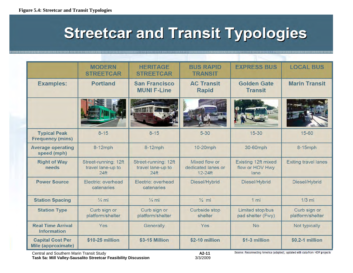# **Streetcar and Transit Typologies**

|                                                | <b>MODERN</b><br><b>STREETCAR</b>                             | <b>HERITAGE</b><br><b>STREETCAR</b>                           | <b>BUS RAPID</b><br><b>TRANSIT</b>               | <b>EXPRESS BUS</b>                             | <b>LOCAL BUS</b>                 |
|------------------------------------------------|---------------------------------------------------------------|---------------------------------------------------------------|--------------------------------------------------|------------------------------------------------|----------------------------------|
| <b>Examples:</b>                               | <b>Portland</b>                                               | <b>San Francisco</b><br><b>MUNI F-Line</b>                    | <b>AC Transit</b><br><b>Rapid</b>                | <b>Golden Gate</b><br><b>Transit</b>           | <b>Marin Transit</b>             |
|                                                |                                                               |                                                               |                                                  |                                                |                                  |
| <b>Typical Peak</b><br><b>Frequency (mins)</b> | $8 - 15$                                                      | $8 - 15$                                                      | $5 - 30$                                         | $15 - 30$                                      | 15-60                            |
| <b>Average operating</b><br>speed (mph)        | 8-12mph                                                       | 8-12mph                                                       | 10-20mph                                         | 30-60mph                                       | 8-15mph                          |
| <b>Right of Way</b><br>needs                   | Street-running: 12ft<br>travel lane-up to<br>24 <sub>ft</sub> | Street-running: 12ft<br>travel lane-up to<br>24 <sup>ft</sup> | Mixed flow or<br>dedicated lanes or<br>$12-24ft$ | Existing 12ft mixed<br>flow or HOV Hwy<br>lane | <b>Exiting travel lanes</b>      |
| <b>Power Source</b>                            | Electric: overhead<br>catenaries                              | Electric: overhead<br>catenaries                              | Diesel/Hybrid                                    | Diesel/Hybrid                                  | Diesel/Hybrid                    |
| <b>Station Spacing</b>                         | $\frac{1}{4}$ mi                                              | $\frac{1}{4}$ mi                                              | $\frac{1}{2}$ mi                                 | 1 mi                                           | $1/3$ mi                         |
| <b>Station Type</b>                            | Curb sign or<br>platform/shelter                              | Curb sign or<br>platform/shelter                              | <b>Curbside stop</b><br>shelter                  | Limited stop/bus<br>pad shelter (Fwy)          | Curb sign or<br>platform/shelter |
| <b>Real Time Arrival</b><br><b>Information</b> | Yes                                                           | Generally                                                     | Yes                                              | <b>No</b>                                      | Not typically                    |
| <b>Capital Cost Per</b><br>Mile (approximate)  | \$10-25 million                                               | \$3-15 Million                                                | \$2-10 million                                   | \$1-3 million                                  | \$0.2-1 million                  |
|                                                |                                                               |                                                               |                                                  |                                                |                                  |

Source: Reconnecting America (adapted), updated with data from HDR projects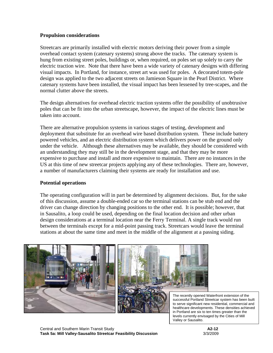#### **Propulsion considerations**

Streetcars are primarily installed with electric motors deriving their power from a simple overhead contact system (catenary systems) strung above the tracks. The catenary system is hung from existing street poles, buildings or, when required, on poles set up solely to carry the electric traction wire. Note that there have been a wide variety of catenary designs with differing visual impacts. In Portland, for instance, street art was used for poles. A decorated totem-pole design was applied to the two adjacent streets on Jamieson Square in the Pearl District. Where catenary systems have been installed, the visual impact has been lessened by tree-scapes, and the normal clutter above the streets.

The design alternatives for overhead electric traction systems offer the possibility of unobtrusive poles that can be fit into the urban streetscape, however, the impact of the electric lines must be taken into account.

There are alternative propulsion systems in various stages of testing, development and deployment that substitute for an overhead wire based distribution system. These include battery powered vehicles, and an electric distribution system which delivers power on the ground only under the vehicle. Although these alternatives may be available, they should be considered with an understanding they may still be in the development stage, and that they may be more expensive to purchase and install and more expensive to maintain. There are no instances in the US at this time of new streetcar projects applying any of these technologies. There are, however, a number of manufacturers claiming their systems are ready for installation and use.

#### **Potential operations**

The operating configuration will in part be determined by alignment decisions. But, for the sake of this discussion, assume a double-ended car so the terminal stations can be stub end and the driver can change direction by changing positions to the other end. It is possible; however, that in Sausalito, a loop could be used, depending on the final location decision and other urban design considerations at a terminal location near the Ferry Terminal. A single track would run between the terminals except for a mid-point passing track. Streetcars would leave the terminal stations at about the same time and meet in the middle of the alignment at a passing siding.



The recently opened Waterfront extension of the successful Portland Streetcar system has been built to serve significant new residential, commercial and healthcare developments. These densities achieved in Portland are six to ten times greater than the levels currently envisaged by the Cities of Mill Valley or Sausalito.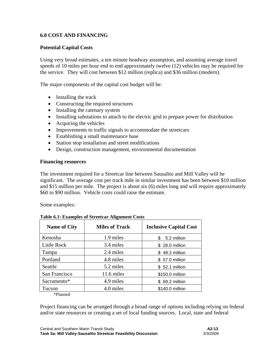#### **6.0 COST AND FINANCING**

#### **Potential Capital Costs**

Using very broad estimates, a ten minute headway assumption, and assuming average travel speeds of 10 miles per hour end to end approximately twelve (12) vehicles may be required for the service. They will cost between \$12 million (replica) and \$36 million (modern).

The major components of the capital cost budget will be:

- Installing the track
- Constructing the required structures
- Installing the catenary system
- Installing substations to attach to the electric grid to prepare power for distribution
- Acquiring the vehicles
- Improvements to traffic signals to accommodate the streetcars
- Establishing a small maintenance base
- Station stop installation and street modifications
- Design, construction management, environmental documentation

#### **Financing resources**

The investment required for a Streetcar line between Sausalito and Mill Valley will be significant. The average cost per track mile in similar investment has been between \$10 million and \$15 million per mile. The project is about six (6) miles long and will require approximately \$60 to \$90 million. Vehicle costs could raise the estimate.

Some examples:

| <b>Name of City</b> | <b>Miles of Track</b> | <b>Inclusive Capital Cost</b> |
|---------------------|-----------------------|-------------------------------|
| Kenosha             | 1.9 miles             | 5.2 million<br>S.             |
| Little Rock         | 3.4 miles             | \$ 28.0 million               |
| Tampa               | 2.4 miles             | \$48.3 million                |
| Portland            | 4.8 miles             | \$57.0 million                |
| Seattle             | 5.2 miles             | \$52.1 million                |
| San Francisco       | 11.6 miles            | \$150.0 million               |
| Sacramento*         | 4.9 miles             | \$ 69.2 million               |
| Tucson              | 4.0 miles             | \$140.0 million               |

#### **Table 6.1: Examples of Streetcar Alignment Costs**

\*Planned

Project financing can be arranged through a broad range of options including relying on federal and/or state resources or creating a set of local funding sources. Local, state and federal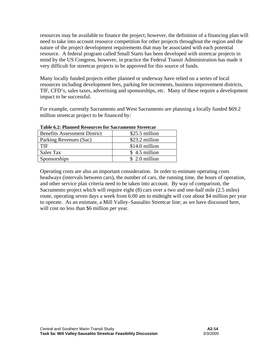resources may be available to finance the project; however, the definition of a financing plan will need to take into account resource competition for other projects throughout the region and the nature of the project development requirements that may be associated with each potential resource. A federal program called Small Starts has been developed with streetcar projects in mind by the US Congress, however, in practice the Federal Transit Administration has made it very difficult for streetcar projects to be approved for this source of funds.

Many locally funded projects either planned or underway have relied on a series of local resources including development fees, parking fee increments, business improvement districts, TIF, CFD's, sales taxes, advertising and sponsorships, etc. Many of these require a development impact to be successful.

For example, currently Sacramento and West Sacramento are planning a locally funded \$69.2 million streetcar project to be financed by:

| Table 0.2. I fallited Resources for Sacramento Streetcal |                |  |
|----------------------------------------------------------|----------------|--|
| <b>Benefits Assessment District</b>                      | \$25.5 million |  |
| Parking Revenues (Sac)                                   | \$23.2 million |  |
| TIF                                                      | \$14.0 million |  |
| Sales Tax                                                | \$4.5 million  |  |
| Sponsorships                                             | \$ 2.0 million |  |

**Table 6.2: Planned Resources for Sacramento Streetcar** 

Operating costs are also an important consideration. In order to estimate operating costs headways (intervals between cars), the number of cars, the running time, the hours of operation, and other service plan criteria need to be taken into account. By way of comparison, the Sacramento project which will require eight (8) cars over a two and one-half mile (2.5 miles) route, operating seven days a week from 6:00 am to midnight will cost about \$4 million per year to operate. As an estimate, a Mill Valley–Sausalito Streetcar line; as we have discussed here, will cost no less than \$6 million per year.